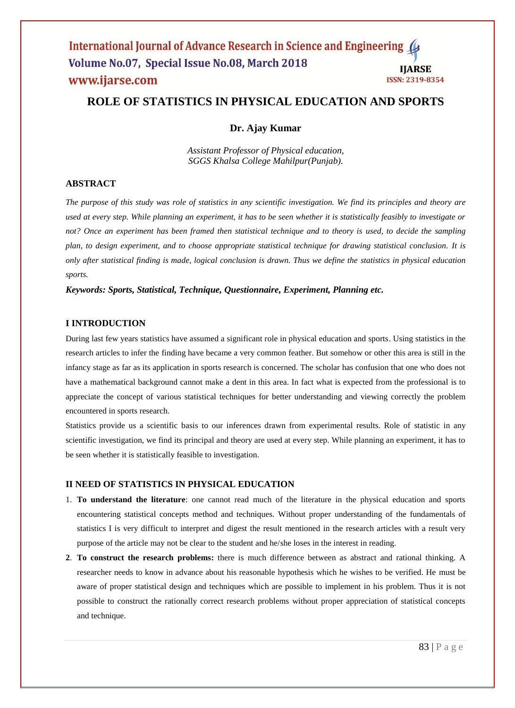# **ROLE OF STATISTICS IN PHYSICAL EDUCATION AND SPORTS**

# **Dr. Ajay Kumar**

*Assistant Professor of Physical education, SGGS Khalsa College Mahilpur(Punjab).*

# **ABSTRACT**

*The purpose of this study was role of statistics in any scientific investigation. We find its principles and theory are used at every step. While planning an experiment, it has to be seen whether it is statistically feasibly to investigate or*  not? Once an experiment has been framed then statistical technique and to theory is used, to decide the sampling *plan, to design experiment, and to choose appropriate statistical technique for drawing statistical conclusion. It is only after statistical finding is made, logical conclusion is drawn. Thus we define the statistics in physical education sports.* 

*Keywords: Sports, Statistical, Technique, Questionnaire, Experiment, Planning etc.*

#### **I INTRODUCTION**

During last few years statistics have assumed a significant role in physical education and sports. Using statistics in the research articles to infer the finding have became a very common feather. But somehow or other this area is still in the infancy stage as far as its application in sports research is concerned. The scholar has confusion that one who does not have a mathematical background cannot make a dent in this area. In fact what is expected from the professional is to appreciate the concept of various statistical techniques for better understanding and viewing correctly the problem encountered in sports research.

Statistics provide us a scientific basis to our inferences drawn from experimental results. Role of statistic in any scientific investigation, we find its principal and theory are used at every step. While planning an experiment, it has to be seen whether it is statistically feasible to investigation.

## **II NEED OF STATISTICS IN PHYSICAL EDUCATION**

- 1. **To understand the literature**: one cannot read much of the literature in the physical education and sports encountering statistical concepts method and techniques. Without proper understanding of the fundamentals of statistics I is very difficult to interpret and digest the result mentioned in the research articles with a result very purpose of the article may not be clear to the student and he/she loses in the interest in reading.
- **2**. **To construct the research problems:** there is much difference between as abstract and rational thinking. A researcher needs to know in advance about his reasonable hypothesis which he wishes to be verified. He must be aware of proper statistical design and techniques which are possible to implement in his problem. Thus it is not possible to construct the rationally correct research problems without proper appreciation of statistical concepts and technique.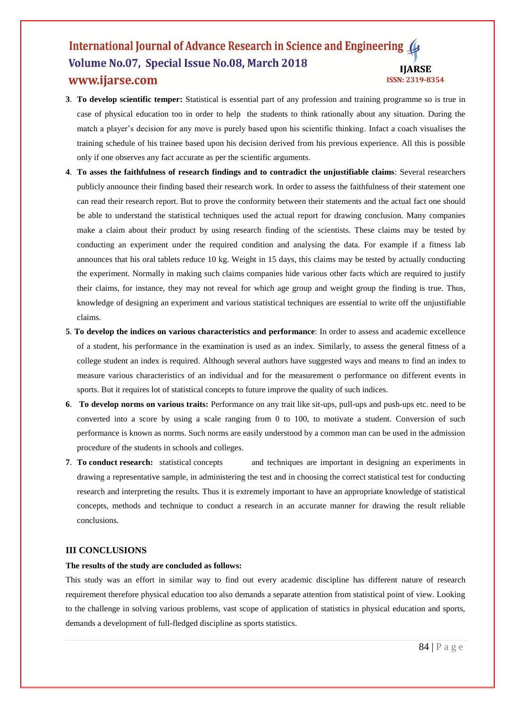#### International Journal of Advance Research in Science and Engineering Volume No.07, Special Issue No.08, March 2018 **IJARSE** www.ijarse.com **ISSN: 2319-8354**

- **3**. **To develop scientific temper:** Statistical is essential part of any profession and training programme so is true in case of physical education too in order to help the students to think rationally about any situation. During the match a player's decision for any move is purely based upon his scientific thinking. Infact a coach visualises the training schedule of his trainee based upon his decision derived from his previous experience. All this is possible only if one observes any fact accurate as per the scientific arguments.
- **4**. **To asses the faithfulness of research findings and to contradict the unjustifiable claims**: Several researchers publicly announce their finding based their research work. In order to assess the faithfulness of their statement one can read their research report. But to prove the conformity between their statements and the actual fact one should be able to understand the statistical techniques used the actual report for drawing conclusion. Many companies make a claim about their product by using research finding of the scientists. These claims may be tested by conducting an experiment under the required condition and analysing the data. For example if a fitness lab announces that his oral tablets reduce 10 kg. Weight in 15 days, this claims may be tested by actually conducting the experiment. Normally in making such claims companies hide various other facts which are required to justify their claims, for instance, they may not reveal for which age group and weight group the finding is true. Thus, knowledge of designing an experiment and various statistical techniques are essential to write off the unjustifiable claims.
- **5**. **To develop the indices on various characteristics and performance**: In order to assess and academic excellence of a student, his performance in the examination is used as an index. Similarly, to assess the general fitness of a college student an index is required. Although several authors have suggested ways and means to find an index to measure various characteristics of an individual and for the measurement o performance on different events in sports. But it requires lot of statistical concepts to future improve the quality of such indices.
- **6**. **To develop norms on various traits:** Performance on any trait like sit-ups, pull-ups and push-ups etc. need to be converted into a score by using a scale ranging from 0 to 100, to motivate a student. Conversion of such performance is known as norms. Such norms are easily understood by a common man can be used in the admission procedure of the students in schools and colleges.
- **7**. **To conduct research:** statistical concepts and techniques are important in designing an experiments in drawing a representative sample, in administering the test and in choosing the correct statistical test for conducting research and interpreting the results. Thus it is extremely important to have an appropriate knowledge of statistical concepts, methods and technique to conduct a research in an accurate manner for drawing the result reliable conclusions.

### **III CONCLUSIONS**

## **The results of the study are concluded as follows:**

This study was an effort in similar way to find out every academic discipline has different nature of research requirement therefore physical education too also demands a separate attention from statistical point of view. Looking to the challenge in solving various problems, vast scope of application of statistics in physical education and sports, demands a development of full-fledged discipline as sports statistics.